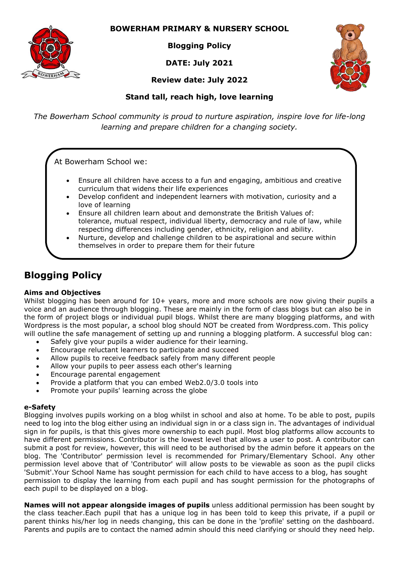

## **BOWERHAM PRIMARY & NURSERY SCHOOL**

**Blogging Policy**

**DATE: July 2021**

**Review date: July 2022**



# **Stand tall, reach high, love learning**

*The Bowerham School community is proud to nurture aspiration, inspire love for life-long learning and prepare children for a changing society.*

At Bowerham School we:

- Ensure all children have access to a fun and engaging, ambitious and creative curriculum that widens their life experiences
- Develop confident and independent learners with motivation, curiosity and a love of learning
- Ensure all children learn about and demonstrate the British Values of: tolerance, mutual respect, individual liberty, democracy and rule of law, while respecting differences including gender, ethnicity, religion and ability.
- Nurture, develop and challenge children to be aspirational and secure within themselves in order to prepare them for their future

# **Blogging Policy**

### **Aims and Objectives**

Whilst blogging has been around for 10+ years, more and more schools are now giving their pupils a voice and an audience through blogging. These are mainly in the form of class blogs but can also be in the form of project blogs or individual pupil blogs. Whilst there are many blogging platforms, and with Wordpress is the most popular, a school blog should NOT be created from Wordpress.com. This policy will outline the safe management of setting up and running a blogging platform. A successful blog can:

- Safely give your pupils a wider audience for their learning.
- Encourage reluctant learners to participate and succeed
- Allow pupils to receive feedback safely from many different people
- Allow your pupils to peer assess each other's learning
- Encourage parental engagement
- Provide a platform that you can embed Web2.0/3.0 tools into
- Promote your pupils' learning across the globe

#### **e-Safety**

Blogging involves pupils working on a blog whilst in school and also at home. To be able to post, pupils need to log into the blog either using an individual sign in or a class sign in. The advantages of individual sign in for pupils, is that this gives more ownership to each pupil. Most blog platforms allow accounts to have different permissions. Contributor is the lowest level that allows a user to post. A contributor can submit a post for review, however, this will need to be authorised by the admin before it appears on the blog. The 'Contributor' permission level is recommended for Primary/Elementary School. Any other permission level above that of 'Contributor' will allow posts to be viewable as soon as the pupil clicks 'Submit'.Your School Name has sought permission for each child to have access to a blog, has sought permission to display the learning from each pupil and has sought permission for the photographs of each pupil to be displayed on a blog.

**Names will not appear alongside images of pupils** unless additional permission has been sought by the class teacher.Each pupil that has a unique log in has been told to keep this private, if a pupil or parent thinks his/her log in needs changing, this can be done in the 'profile' setting on the dashboard. Parents and pupils are to contact the named admin should this need clarifying or should they need help.